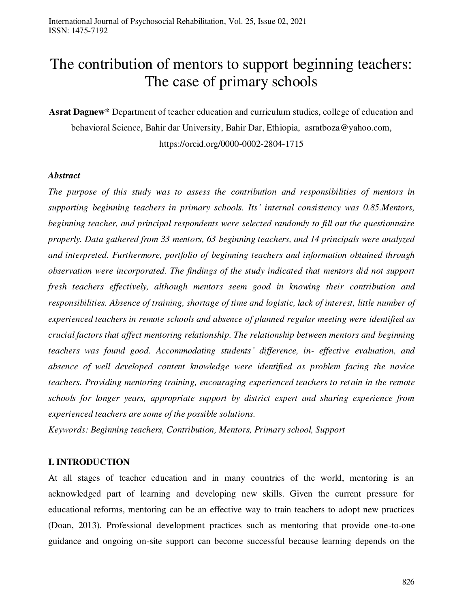# The contribution of mentors to support beginning teachers: The case of primary schools

**Asrat Dagnew\*** Department of teacher education and curriculum studies, college of education and behavioral Science, Bahir dar University, Bahir Dar, Ethiopia, asratboza@yahoo.com,

https://orcid.org/0000-0002-2804-1715

#### *Abstract*

*The purpose of this study was to assess the contribution and responsibilities of mentors in supporting beginning teachers in primary schools. Its' internal consistency was 0.85.Mentors, beginning teacher, and principal respondents were selected randomly to fill out the questionnaire properly. Data gathered from 33 mentors, 63 beginning teachers, and 14 principals were analyzed and interpreted. Furthermore, portfolio of beginning teachers and information obtained through observation were incorporated. The findings of the study indicated that mentors did not support fresh teachers effectively, although mentors seem good in knowing their contribution and responsibilities. Absence of training, shortage of time and logistic, lack of interest, little number of experienced teachers in remote schools and absence of planned regular meeting were identified as crucial factors that affect mentoring relationship. The relationship between mentors and beginning teachers was found good. Accommodating students' difference, in- effective evaluation, and absence of well developed content knowledge were identified as problem facing the novice teachers. Providing mentoring training, encouraging experienced teachers to retain in the remote schools for longer years, appropriate support by district expert and sharing experience from experienced teachers are some of the possible solutions.* 

*Keywords: Beginning teachers, Contribution, Mentors, Primary school, Support* 

#### **I. INTRODUCTION**

At all stages of teacher education and in many countries of the world, mentoring is an acknowledged part of learning and developing new skills. Given the current pressure for educational reforms, mentoring can be an effective way to train teachers to adopt new practices (Doan, 2013). Professional development practices such as mentoring that provide one-to-one guidance and ongoing on-site support can become successful because learning depends on the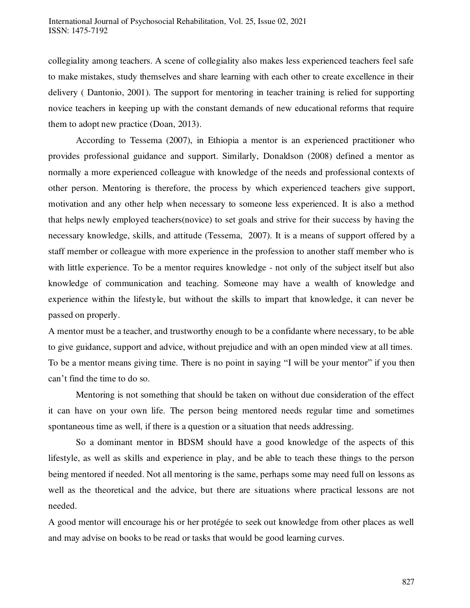collegiality among teachers. A scene of collegiality also makes less experienced teachers feel safe to make mistakes, study themselves and share learning with each other to create excellence in their delivery ( Dantonio, 2001). The support for mentoring in teacher training is relied for supporting novice teachers in keeping up with the constant demands of new educational reforms that require them to adopt new practice (Doan, 2013).

According to Tessema (2007), in Ethiopia a mentor is an experienced practitioner who provides professional guidance and support. Similarly, Donaldson (2008) defined a mentor as normally a more experienced colleague with knowledge of the needs and professional contexts of other person. Mentoring is therefore, the process by which experienced teachers give support, motivation and any other help when necessary to someone less experienced. It is also a method that helps newly employed teachers(novice) to set goals and strive for their success by having the necessary knowledge, skills, and attitude (Tessema, 2007). It is a means of support offered by a staff member or colleague with more experience in the profession to another staff member who is with little experience. To be a mentor requires knowledge - not only of the subject itself but also knowledge of communication and teaching. Someone may have a wealth of knowledge and experience within the lifestyle, but without the skills to impart that knowledge, it can never be passed on properly.

A mentor must be a teacher, and trustworthy enough to be a confidante where necessary, to be able to give guidance, support and advice, without prejudice and with an open minded view at all times. To be a mentor means giving time. There is no point in saying "I will be your mentor" if you then can't find the time to do so.

Mentoring is not something that should be taken on without due consideration of the effect it can have on your own life. The person being mentored needs regular time and sometimes spontaneous time as well, if there is a question or a situation that needs addressing.

So a dominant mentor in BDSM should have a good knowledge of the aspects of this lifestyle, as well as skills and experience in play, and be able to teach these things to the person being mentored if needed. Not all mentoring is the same, perhaps some may need full on lessons as well as the theoretical and the advice, but there are situations where practical lessons are not needed.

A good mentor will encourage his or her protégée to seek out knowledge from other places as well and may advise on books to be read or tasks that would be good learning curves.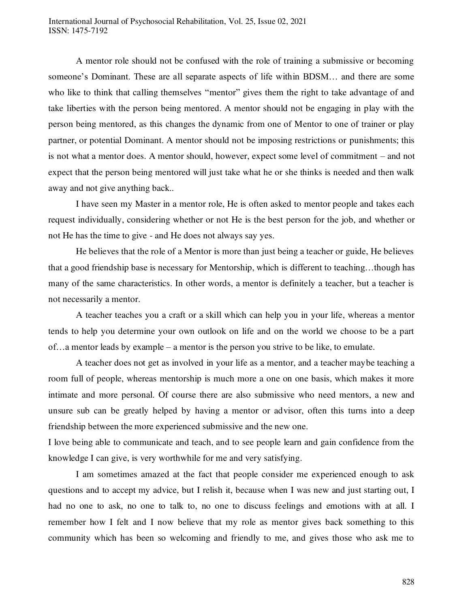A mentor role should not be confused with the role of training a submissive or becoming someone's Dominant. These are all separate aspects of life within BDSM… and there are some who like to think that calling themselves "mentor" gives them the right to take advantage of and take liberties with the person being mentored. A mentor should not be engaging in play with the person being mentored, as this changes the dynamic from one of Mentor to one of trainer or play partner, or potential Dominant. A mentor should not be imposing restrictions or punishments; this is not what a mentor does. A mentor should, however, expect some level of commitment – and not expect that the person being mentored will just take what he or she thinks is needed and then walk away and not give anything back..

I have seen my Master in a mentor role, He is often asked to mentor people and takes each request individually, considering whether or not He is the best person for the job, and whether or not He has the time to give - and He does not always say yes.

He believes that the role of a Mentor is more than just being a teacher or guide, He believes that a good friendship base is necessary for Mentorship, which is different to teaching…though has many of the same characteristics. In other words, a mentor is definitely a teacher, but a teacher is not necessarily a mentor.

A teacher teaches you a craft or a skill which can help you in your life, whereas a mentor tends to help you determine your own outlook on life and on the world we choose to be a part of…a mentor leads by example – a mentor is the person you strive to be like, to emulate.

A teacher does not get as involved in your life as a mentor, and a teacher maybe teaching a room full of people, whereas mentorship is much more a one on one basis, which makes it more intimate and more personal. Of course there are also submissive who need mentors, a new and unsure sub can be greatly helped by having a mentor or advisor, often this turns into a deep friendship between the more experienced submissive and the new one.

I love being able to communicate and teach, and to see people learn and gain confidence from the knowledge I can give, is very worthwhile for me and very satisfying.

I am sometimes amazed at the fact that people consider me experienced enough to ask questions and to accept my advice, but I relish it, because when I was new and just starting out, I had no one to ask, no one to talk to, no one to discuss feelings and emotions with at all. I remember how I felt and I now believe that my role as mentor gives back something to this community which has been so welcoming and friendly to me, and gives those who ask me to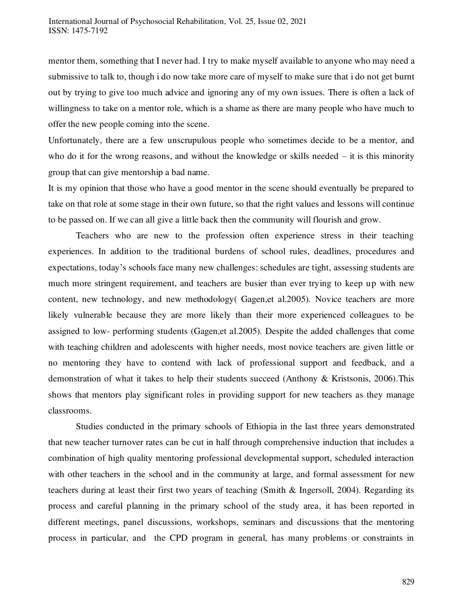mentor them, something that I never had. I try to make myself available to anyone who may need a submissive to talk to, though i do now take more care of myself to make sure that i do not get burnt out by trying to give too much advice and ignoring any of my own issues. There is often a lack of willingness to take on a mentor role, which is a shame as there are many people who have much to offer the new people coming into the scene.

Unfortunately, there are a few unscrupulous people who sometimes decide to be a mentor, and who do it for the wrong reasons, and without the knowledge or skills needed  $-$  it is this minority group that can give mentorship a bad name.

It is my opinion that those who have a good mentor in the scene should eventually be prepared to take on that role at some stage in their own future, so that the right values and lessons will continue to be passed on. If we can all give a little back then the community will flourish and grow.

Teachers who are new to the profession often experience stress in their teaching experiences. In addition to the traditional burdens of school rules, deadlines, procedures and expectations, today's schools face many new challenges: schedules are tight, assessing students are much more stringent requirement, and teachers are busier than ever trying to keep up with new content, new technology, and new methodology( Gagen,et al.2005). Novice teachers are more likely vulnerable because they are more likely than their more experienced colleagues to be assigned to low- performing students (Gagen,et al.2005). Despite the added challenges that come with teaching children and adolescents with higher needs, most novice teachers are given little or no mentoring they have to contend with lack of professional support and feedback, and a demonstration of what it takes to help their students succeed (Anthony & Kristsonis, 2006).This shows that mentors play significant roles in providing support for new teachers as they manage classrooms.

Studies conducted in the primary schools of Ethiopia in the last three years demonstrated that new teacher turnover rates can be cut in half through comprehensive induction that includes a combination of high quality mentoring professional developmental support, scheduled interaction with other teachers in the school and in the community at large, and formal assessment for new teachers during at least their first two years of teaching (Smith & Ingersoll, 2004). Regarding its process and careful planning in the primary school of the study area, it has been reported in different meetings, panel discussions, workshops, seminars and discussions that the mentoring process in particular, and the CPD program in general, has many problems or constraints in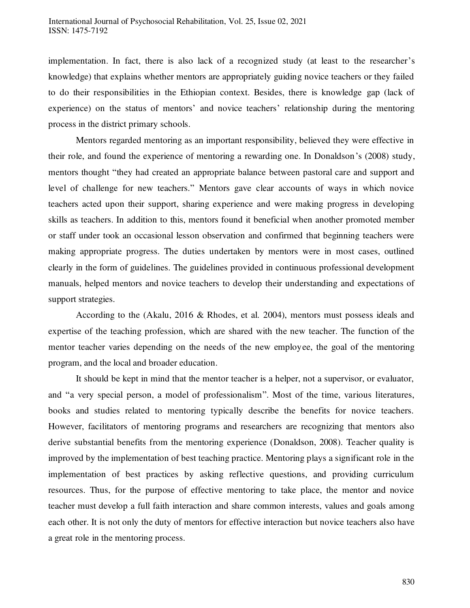implementation. In fact, there is also lack of a recognized study (at least to the researcher's knowledge) that explains whether mentors are appropriately guiding novice teachers or they failed to do their responsibilities in the Ethiopian context. Besides, there is knowledge gap (lack of experience) on the status of mentors' and novice teachers' relationship during the mentoring process in the district primary schools.

Mentors regarded mentoring as an important responsibility, believed they were effective in their role, and found the experience of mentoring a rewarding one. In Donaldson's (2008) study, mentors thought "they had created an appropriate balance between pastoral care and support and level of challenge for new teachers." Mentors gave clear accounts of ways in which novice teachers acted upon their support, sharing experience and were making progress in developing skills as teachers. In addition to this, mentors found it beneficial when another promoted member or staff under took an occasional lesson observation and confirmed that beginning teachers were making appropriate progress. The duties undertaken by mentors were in most cases, outlined clearly in the form of guidelines. The guidelines provided in continuous professional development manuals, helped mentors and novice teachers to develop their understanding and expectations of support strategies.

According to the (Akalu, 2016 & Rhodes, et al. 2004), mentors must possess ideals and expertise of the teaching profession, which are shared with the new teacher. The function of the mentor teacher varies depending on the needs of the new employee, the goal of the mentoring program, and the local and broader education.

It should be kept in mind that the mentor teacher is a helper, not a supervisor, or evaluator, and "a very special person, a model of professionalism". Most of the time, various literatures, books and studies related to mentoring typically describe the benefits for novice teachers. However, facilitators of mentoring programs and researchers are recognizing that mentors also derive substantial benefits from the mentoring experience (Donaldson, 2008). Teacher quality is improved by the implementation of best teaching practice. Mentoring plays a significant role in the implementation of best practices by asking reflective questions, and providing curriculum resources. Thus, for the purpose of effective mentoring to take place, the mentor and novice teacher must develop a full faith interaction and share common interests, values and goals among each other. It is not only the duty of mentors for effective interaction but novice teachers also have a great role in the mentoring process.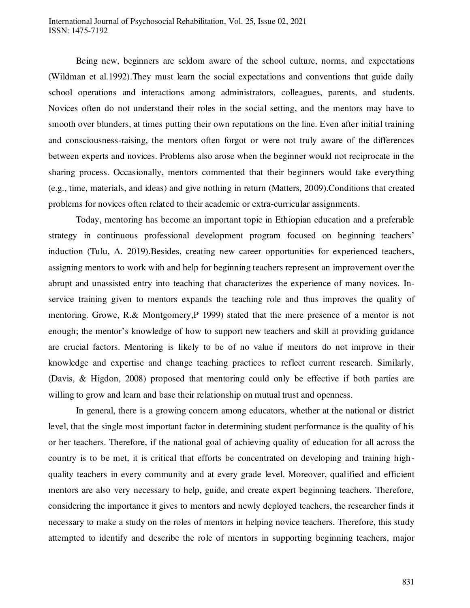#### International Journal of Psychosocial Rehabilitation, Vol. 25, Issue 02, 2021 ISSN: 1475-7192

Being new, beginners are seldom aware of the school culture, norms, and expectations (Wildman et al.1992).They must learn the social expectations and conventions that guide daily school operations and interactions among administrators, colleagues, parents, and students. Novices often do not understand their roles in the social setting, and the mentors may have to smooth over blunders, at times putting their own reputations on the line. Even after initial training and consciousness-raising, the mentors often forgot or were not truly aware of the differences between experts and novices. Problems also arose when the beginner would not reciprocate in the sharing process. Occasionally, mentors commented that their beginners would take everything (e.g., time, materials, and ideas) and give nothing in return (Matters, 2009).Conditions that created problems for novices often related to their academic or extra-curricular assignments.

Today, mentoring has become an important topic in Ethiopian education and a preferable strategy in continuous professional development program focused on beginning teachers' induction (Tulu, A. 2019).Besides, creating new career opportunities for experienced teachers, assigning mentors to work with and help for beginning teachers represent an improvement over the abrupt and unassisted entry into teaching that characterizes the experience of many novices. Inservice training given to mentors expands the teaching role and thus improves the quality of mentoring. Growe, R.& Montgomery,P 1999) stated that the mere presence of a mentor is not enough; the mentor's knowledge of how to support new teachers and skill at providing guidance are crucial factors. Mentoring is likely to be of no value if mentors do not improve in their knowledge and expertise and change teaching practices to reflect current research. Similarly, (Davis, & Higdon, 2008) proposed that mentoring could only be effective if both parties are willing to grow and learn and base their relationship on mutual trust and openness.

In general, there is a growing concern among educators, whether at the national or district level, that the single most important factor in determining student performance is the quality of his or her teachers. Therefore, if the national goal of achieving quality of education for all across the country is to be met, it is critical that efforts be concentrated on developing and training highquality teachers in every community and at every grade level. Moreover, qualified and efficient mentors are also very necessary to help, guide, and create expert beginning teachers. Therefore, considering the importance it gives to mentors and newly deployed teachers, the researcher finds it necessary to make a study on the roles of mentors in helping novice teachers. Therefore, this study attempted to identify and describe the role of mentors in supporting beginning teachers, major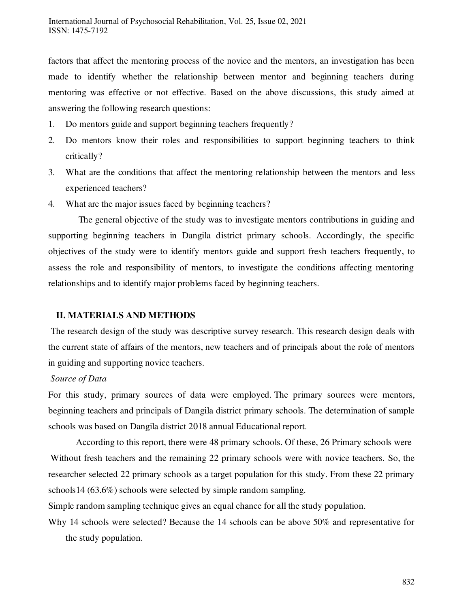factors that affect the mentoring process of the novice and the mentors, an investigation has been made to identify whether the relationship between mentor and beginning teachers during mentoring was effective or not effective. Based on the above discussions, this study aimed at answering the following research questions:

- 1. Do mentors guide and support beginning teachers frequently?
- 2. Do mentors know their roles and responsibilities to support beginning teachers to think critically?
- 3. What are the conditions that affect the mentoring relationship between the mentors and less experienced teachers?
- 4. What are the major issues faced by beginning teachers?

 The general objective of the study was to investigate mentors contributions in guiding and supporting beginning teachers in Dangila district primary schools. Accordingly, the specific objectives of the study were to identify mentors guide and support fresh teachers frequently, to assess the role and responsibility of mentors, to investigate the conditions affecting mentoring relationships and to identify major problems faced by beginning teachers.

# **II. MATERIALS AND METHODS**

The research design of the study was descriptive survey research. This research design deals with the current state of affairs of the mentors, new teachers and of principals about the role of mentors in guiding and supporting novice teachers.

# *Source of Data*

For this study, primary sources of data were employed. The primary sources were mentors, beginning teachers and principals of Dangila district primary schools. The determination of sample schools was based on Dangila district 2018 annual Educational report.

According to this report, there were 48 primary schools. Of these, 26 Primary schools were Without fresh teachers and the remaining 22 primary schools were with novice teachers. So, the researcher selected 22 primary schools as a target population for this study. From these 22 primary schools14 (63.6%) schools were selected by simple random sampling.

Simple random sampling technique gives an equal chance for all the study population.

Why 14 schools were selected? Because the 14 schools can be above 50% and representative for the study population.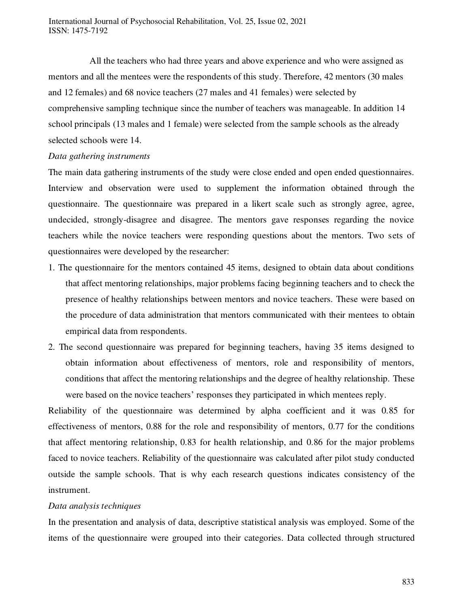All the teachers who had three years and above experience and who were assigned as mentors and all the mentees were the respondents of this study. Therefore, 42 mentors (30 males and 12 females) and 68 novice teachers (27 males and 41 females) were selected by comprehensive sampling technique since the number of teachers was manageable. In addition 14 school principals (13 males and 1 female) were selected from the sample schools as the already selected schools were 14.

#### *Data gathering instruments*

The main data gathering instruments of the study were close ended and open ended questionnaires. Interview and observation were used to supplement the information obtained through the questionnaire. The questionnaire was prepared in a likert scale such as strongly agree, agree, undecided, strongly-disagree and disagree. The mentors gave responses regarding the novice teachers while the novice teachers were responding questions about the mentors. Two sets of questionnaires were developed by the researcher:

- 1. The questionnaire for the mentors contained 45 items, designed to obtain data about conditions that affect mentoring relationships, major problems facing beginning teachers and to check the presence of healthy relationships between mentors and novice teachers. These were based on the procedure of data administration that mentors communicated with their mentees to obtain empirical data from respondents.
- 2. The second questionnaire was prepared for beginning teachers, having 35 items designed to obtain information about effectiveness of mentors, role and responsibility of mentors, conditions that affect the mentoring relationships and the degree of healthy relationship. These were based on the novice teachers' responses they participated in which mentees reply.

Reliability of the questionnaire was determined by alpha coefficient and it was 0.85 for effectiveness of mentors, 0.88 for the role and responsibility of mentors, 0.77 for the conditions that affect mentoring relationship, 0.83 for health relationship, and 0.86 for the major problems faced to novice teachers. Reliability of the questionnaire was calculated after pilot study conducted outside the sample schools. That is why each research questions indicates consistency of the instrument.

#### *Data analysis techniques*

In the presentation and analysis of data, descriptive statistical analysis was employed. Some of the items of the questionnaire were grouped into their categories. Data collected through structured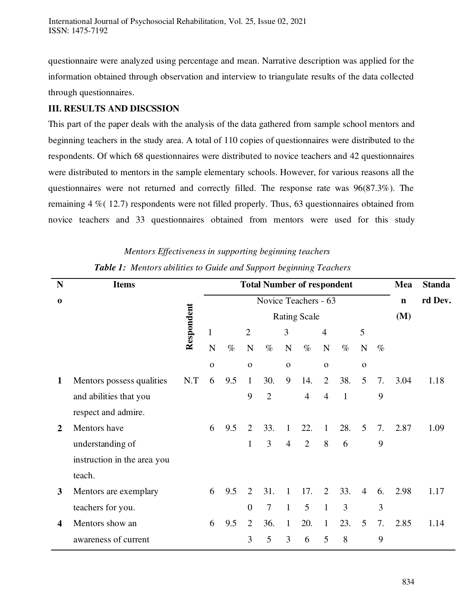questionnaire were analyzed using percentage and mean. Narrative description was applied for the information obtained through observation and interview to triangulate results of the data collected through questionnaires.

# **III. RESULTS AND DISCSSION**

This part of the paper deals with the analysis of the data gathered from sample school mentors and beginning teachers in the study area. A total of 110 copies of questionnaires were distributed to the respondents. Of which 68 questionnaires were distributed to novice teachers and 42 questionnaires were distributed to mentors in the sample elementary schools. However, for various reasons all the questionnaires were not returned and correctly filled. The response rate was 96(87.3%). The remaining 4 %( 12.7) respondents were not filled properly. Thus, 63 questionnaires obtained from novice teachers and 33 questionnaires obtained from mentors were used for this study

### *Mentors Effectiveness in supporting beginning teachers*

| N                | <b>Items</b>                |            | <b>Total Number of respondent</b> |      |                      |                |                |                |                |              | Mea            | <b>Standa</b> |      |      |
|------------------|-----------------------------|------------|-----------------------------------|------|----------------------|----------------|----------------|----------------|----------------|--------------|----------------|---------------|------|------|
| $\bf{0}$         |                             |            |                                   |      | Novice Teachers - 63 |                | $\mathbf n$    | rd Dev.        |                |              |                |               |      |      |
|                  |                             |            | <b>Rating Scale</b>               |      |                      |                |                |                |                |              |                |               | (M)  |      |
|                  |                             | Respondent | $\mathbf{1}$                      |      | $\overline{2}$       |                | 3              |                | $\overline{4}$ |              | 5              |               |      |      |
|                  |                             |            | $\mathbf N$                       | $\%$ | $\mathbf N$          | $\%$           | N              | $\%$           | ${\bf N}$      | $\%$         | ${\bf N}$      | $\%$          |      |      |
|                  |                             |            | $\mathbf{O}$                      |      | $\mathbf{O}$         |                | $\mathbf 0$    |                | $\mathbf{O}$   |              | $\mathbf 0$    |               |      |      |
| $\mathbf{1}$     | Mentors possess qualities   | N.T        | 6                                 | 9.5  | $\mathbf{1}$         | 30.            | 9              | 14.            | $\overline{2}$ | 38.          | 5              | 7.            | 3.04 | 1.18 |
|                  | and abilities that you      |            |                                   |      | 9                    | $\overline{2}$ |                | $\overline{4}$ | $\overline{4}$ | $\mathbf{1}$ |                | 9             |      |      |
|                  | respect and admire.         |            |                                   |      |                      |                |                |                |                |              |                |               |      |      |
| 2                | Mentors have                |            | 6                                 | 9.5  | $\overline{2}$       | 33.            | $\mathbf{1}$   | 22.            | $\mathbf{1}$   | 28.          | 5              | 7.            | 2.87 | 1.09 |
|                  | understanding of            |            |                                   |      | $\mathbf{1}$         | 3              | $\overline{4}$ | $\overline{2}$ | 8              | 6            |                | 9             |      |      |
|                  | instruction in the area you |            |                                   |      |                      |                |                |                |                |              |                |               |      |      |
|                  | teach.                      |            |                                   |      |                      |                |                |                |                |              |                |               |      |      |
| 3                | Mentors are exemplary       |            | 6                                 | 9.5  | 2                    | 31.            | $\mathbf{1}$   | 17.            | 2              | 33.          | $\overline{4}$ | 6.            | 2.98 | 1.17 |
|                  | teachers for you.           |            |                                   |      | $\overline{0}$       | $\overline{7}$ | $\mathbf{1}$   | 5              | $\mathbf{1}$   | 3            |                | 3             |      |      |
| $\boldsymbol{4}$ | Mentors show an             |            | 6                                 | 9.5  | $\overline{2}$       | 36.            | $\mathbf{1}$   | 20.            | $\mathbf{1}$   | 23.          | 5              | 7.            | 2.85 | 1.14 |
|                  | awareness of current        |            |                                   |      | 3                    | 5              | 3              | 6              | 5              | 8            |                | 9             |      |      |

# *Table 1: Mentors abilities to Guide and Support beginning Teachers*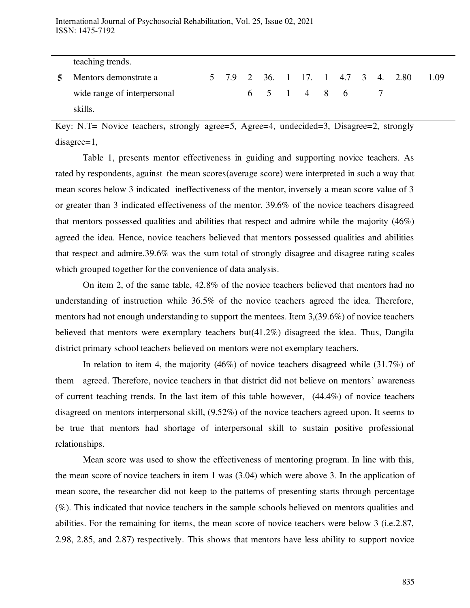| teaching trends.            |  |             |  |  |  |                                |      |
|-----------------------------|--|-------------|--|--|--|--------------------------------|------|
| Mentors demonstrate a       |  |             |  |  |  | 5 7.9 2 36 1 17 1 4.7 3 4 2.80 | 1.09 |
| wide range of interpersonal |  | 6 5 1 4 8 6 |  |  |  |                                |      |
| skills.                     |  |             |  |  |  |                                |      |

Key: N.T= Novice teachers**,** strongly agree=5, Agree=4, undecided=3, Disagree=2, strongly disagree=1,

Table 1, presents mentor effectiveness in guiding and supporting novice teachers. As rated by respondents, against the mean scores(average score) were interpreted in such a way that mean scores below 3 indicated ineffectiveness of the mentor, inversely a mean score value of 3 or greater than 3 indicated effectiveness of the mentor. 39.6% of the novice teachers disagreed that mentors possessed qualities and abilities that respect and admire while the majority (46%) agreed the idea. Hence, novice teachers believed that mentors possessed qualities and abilities that respect and admire.39.6% was the sum total of strongly disagree and disagree rating scales which grouped together for the convenience of data analysis.

On item 2, of the same table, 42.8% of the novice teachers believed that mentors had no understanding of instruction while 36.5% of the novice teachers agreed the idea. Therefore, mentors had not enough understanding to support the mentees. Item 3,(39.6%) of novice teachers believed that mentors were exemplary teachers but(41.2%) disagreed the idea. Thus, Dangila district primary school teachers believed on mentors were not exemplary teachers.

In relation to item 4, the majority (46%) of novice teachers disagreed while (31.7%) of them agreed. Therefore, novice teachers in that district did not believe on mentors' awareness of current teaching trends. In the last item of this table however,  $(44.4\%)$  of novice teachers disagreed on mentors interpersonal skill, (9.52%) of the novice teachers agreed upon. It seems to be true that mentors had shortage of interpersonal skill to sustain positive professional relationships.

Mean score was used to show the effectiveness of mentoring program. In line with this, the mean score of novice teachers in item 1 was (3.04) which were above 3. In the application of mean score, the researcher did not keep to the patterns of presenting starts through percentage (%). This indicated that novice teachers in the sample schools believed on mentors qualities and abilities. For the remaining for items, the mean score of novice teachers were below 3 (i.e.2.87, 2.98, 2.85, and 2.87) respectively. This shows that mentors have less ability to support novice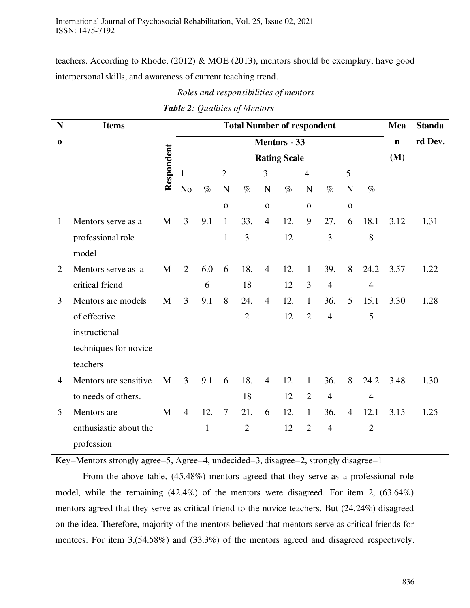teachers. According to Rhode, (2012) & MOE (2013), mentors should be exemplary, have good interpersonal skills, and awareness of current teaching trend.

*Roles and responsibilities of mentors* 

| N            | <b>Items</b>           |            | <b>Total Number of respondent</b><br>Mea |              |                |                |                |      |                |                |                |                |      | <b>Standa</b> |
|--------------|------------------------|------------|------------------------------------------|--------------|----------------|----------------|----------------|------|----------------|----------------|----------------|----------------|------|---------------|
| $\bf{0}$     |                        |            | <b>Mentors - 33</b>                      |              |                |                |                |      |                |                |                |                |      | rd Dev.       |
|              |                        |            |                                          |              | (M)            |                |                |      |                |                |                |                |      |               |
|              |                        | Respondent | 1                                        |              | $\overline{2}$ |                | 3              |      | $\overline{4}$ |                | 5              |                |      |               |
|              |                        |            | N <sub>o</sub>                           | $\%$         | $\mathbf N$    | $\%$           | $\mathbf N$    | $\%$ | $\mathbf N$    | $\%$           | N              | $\%$           |      |               |
|              |                        |            |                                          |              | $\mathbf 0$    |                | $\mathbf 0$    |      | $\mathbf 0$    |                | $\mathbf 0$    |                |      |               |
| $\mathbf{1}$ | Mentors serve as a     | M          | 3                                        | 9.1          | $\mathbf{1}$   | 33.            | $\overline{4}$ | 12.  | 9              | 27.            | 6              | 18.1           | 3.12 | 1.31          |
|              | professional role      |            |                                          |              | $\mathbf{1}$   | 3              |                | 12   |                | 3              |                | 8              |      |               |
|              | model                  |            |                                          |              |                |                |                |      |                |                |                |                |      |               |
| 2            | Mentors serve as a     | M          | 2                                        | 6.0          | 6              | 18.            | $\overline{4}$ | 12.  | $\mathbf{1}$   | 39.            | 8              | 24.2           | 3.57 | 1.22          |
|              | critical friend        |            |                                          | 6            |                | 18             |                | 12   | 3              | $\overline{4}$ |                | $\overline{4}$ |      |               |
| 3            | Mentors are models     | M          | $\overline{3}$                           | 9.1          | 8              | 24.            | $\overline{4}$ | 12.  | $\mathbf{1}$   | 36.            | 5              | 15.1           | 3.30 | 1.28          |
|              | of effective           |            |                                          |              |                | $\overline{2}$ |                | 12   | $\overline{2}$ | $\overline{4}$ |                | 5              |      |               |
|              | instructional          |            |                                          |              |                |                |                |      |                |                |                |                |      |               |
|              | techniques for novice  |            |                                          |              |                |                |                |      |                |                |                |                |      |               |
|              | teachers               |            |                                          |              |                |                |                |      |                |                |                |                |      |               |
| 4            | Mentors are sensitive  | M          | $\overline{3}$                           | 9.1          | 6              | 18.            | $\overline{4}$ | 12.  | $\mathbf{1}$   | 36.            | 8              | 24.2           | 3.48 | 1.30          |
|              | to needs of others.    |            |                                          |              |                | 18             |                | 12   | $\overline{2}$ | $\overline{4}$ |                | $\overline{4}$ |      |               |
| 5            | Mentors are            | M          | $\overline{4}$                           | 12.          | $\overline{7}$ | 21.            | 6              | 12.  | $\mathbf{1}$   | 36.            | $\overline{4}$ | 12.1           | 3.15 | 1.25          |
|              | enthusiastic about the |            |                                          | $\mathbf{1}$ |                | $\overline{2}$ |                | 12   | $\overline{2}$ | $\overline{4}$ |                | $\overline{2}$ |      |               |
|              | profession             |            |                                          |              |                |                |                |      |                |                |                |                |      |               |

# *Table 2: Qualities of Mentors*

Key=Mentors strongly agree=5, Agree=4, undecided=3, disagree=2, strongly disagree=1

From the above table, (45.48%) mentors agreed that they serve as a professional role model, while the remaining (42.4%) of the mentors were disagreed. For item 2, (63.64%) mentors agreed that they serve as critical friend to the novice teachers. But (24.24%) disagreed on the idea. Therefore, majority of the mentors believed that mentors serve as critical friends for mentees. For item 3,(54.58%) and (33.3%) of the mentors agreed and disagreed respectively.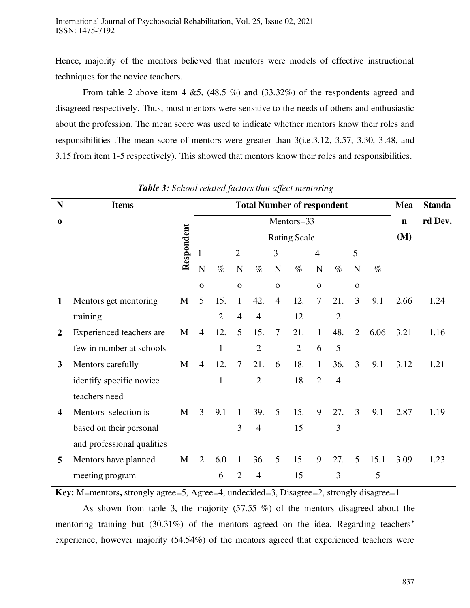Hence, majority of the mentors believed that mentors were models of effective instructional techniques for the novice teachers.

From table 2 above item 4  $&5$ , (48.5 %) and (33.32%) of the respondents agreed and disagreed respectively. Thus, most mentors were sensitive to the needs of others and enthusiastic about the profession. The mean score was used to indicate whether mentors know their roles and responsibilities .The mean score of mentors were greater than 3(i.e.3.12, 3.57, 3.30, 3.48, and 3.15 from item 1-5 respectively). This showed that mentors know their roles and responsibilities.

| N              | <b>Items</b>               |            | <b>Total Number of respondent</b> |                |                |                |                |                |                |                |                | Mea  | <b>Standa</b> |      |
|----------------|----------------------------|------------|-----------------------------------|----------------|----------------|----------------|----------------|----------------|----------------|----------------|----------------|------|---------------|------|
| $\bf{0}$       |                            |            |                                   |                |                |                | $\mathbf n$    | rd Dev.        |                |                |                |      |               |      |
|                |                            |            | <b>Rating Scale</b>               |                |                |                |                |                |                |                |                |      | (M)           |      |
|                |                            | Respondent | 1                                 |                | $\overline{2}$ |                | 3              |                | $\overline{4}$ |                | 5              |      |               |      |
|                |                            |            | $\mathbf N$                       | $\%$           | N              | $\%$           | N              | $\%$           | $\mathbf N$    | $\%$           | $\mathbf N$    | $\%$ |               |      |
|                |                            |            | $\mathbf O$                       |                | $\mathbf{o}$   |                | $\mathbf O$    |                | $\mathbf O$    |                | $\mathbf 0$    |      |               |      |
| 1              | Mentors get mentoring      | M          | 5                                 | 15.            | $\mathbf{1}$   | 42.            | $\overline{4}$ | 12.            | 7              | 21.            | 3              | 9.1  | 2.66          | 1.24 |
|                | training                   |            |                                   | $\overline{2}$ | $\overline{4}$ | $\overline{4}$ |                | 12             |                | $\overline{2}$ |                |      |               |      |
| $\overline{2}$ | Experienced teachers are   | M          | $\overline{4}$                    | 12.            | 5              | 15.            | $\tau$         | 21.            | $\mathbf{1}$   | 48.            | $\overline{2}$ | 6.06 | 3.21          | 1.16 |
|                | few in number at schools   |            |                                   | 1              |                | $\overline{2}$ |                | $\overline{2}$ | 6              | 5              |                |      |               |      |
| 3              | Mentors carefully          | M          | $\overline{4}$                    | 12.            | $\tau$         | 21.            | 6              | 18.            | $\mathbf{1}$   | 36.            | 3              | 9.1  | 3.12          | 1.21 |
|                | identify specific novice   |            |                                   | 1              |                | $\overline{2}$ |                | 18             | $\overline{2}$ | $\overline{4}$ |                |      |               |      |
|                | teachers need              |            |                                   |                |                |                |                |                |                |                |                |      |               |      |
| 4              | Mentors selection is       | M          | $\overline{3}$                    | 9.1            | $\mathbf{1}$   | 39.            | 5              | 15.            | 9              | 27.            | 3              | 9.1  | 2.87          | 1.19 |
|                | based on their personal    |            |                                   |                | 3              | $\overline{4}$ |                | 15             |                | 3              |                |      |               |      |
|                | and professional qualities |            |                                   |                |                |                |                |                |                |                |                |      |               |      |
| 5              | Mentors have planned       | M          | $\overline{2}$                    | 6.0            | $\mathbf{1}$   | 36.            | 5              | 15.            | 9              | 27.            | 5              | 15.1 | 3.09          | 1.23 |
|                | meeting program            |            |                                   | 6              | $\overline{2}$ | $\overline{4}$ |                | 15             |                | 3              |                | 5    |               |      |

 *Table 3: School related factors that affect mentoring* 

**Key:** M=mentors, strongly agree=5, Agree=4, undecided=3, Disagree=2, strongly disagree=1

As shown from table 3, the majority (57.55 %) of the mentors disagreed about the mentoring training but (30.31%) of the mentors agreed on the idea. Regarding teachers' experience, however majority (54.54%) of the mentors agreed that experienced teachers were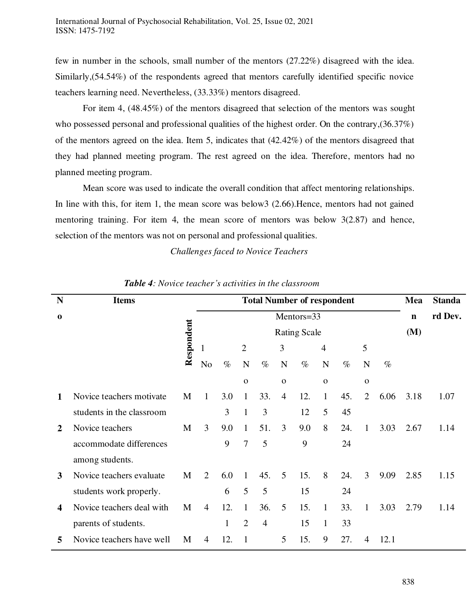few in number in the schools, small number of the mentors (27.22%) disagreed with the idea. Similarly,(54.54%) of the respondents agreed that mentors carefully identified specific novice teachers learning need. Nevertheless, (33.33%) mentors disagreed.

For item 4, (48.45%) of the mentors disagreed that selection of the mentors was sought who possessed personal and professional qualities of the highest order. On the contrary,  $(36.37%)$ of the mentors agreed on the idea. Item 5, indicates that (42.42%) of the mentors disagreed that they had planned meeting program. The rest agreed on the idea. Therefore, mentors had no planned meeting program.

Mean score was used to indicate the overall condition that affect mentoring relationships. In line with this, for item 1, the mean score was below3 (2.66).Hence, mentors had not gained mentoring training. For item 4, the mean score of mentors was below 3(2.87) and hence, selection of the mentors was not on personal and professional qualities.

#### *Challenges faced to Novice Teachers*

| <b>Items</b>              |   |                |            |                | Mea            | <b>Standa</b>   |      |                |                     |                                   |      |      |             |
|---------------------------|---|----------------|------------|----------------|----------------|-----------------|------|----------------|---------------------|-----------------------------------|------|------|-------------|
|                           |   |                | Mentors=33 |                |                |                 |      |                |                     |                                   |      |      | rd Dev.     |
|                           |   |                |            |                |                |                 |      |                |                     |                                   |      | (M)  |             |
|                           |   |                |            | $\overline{2}$ |                | 3               |      | $\overline{4}$ |                     | 5                                 |      |      |             |
|                           |   | No             | $\%$       | $\mathbf N$    | $\%$           | N               | $\%$ | $\mathbf N$    | $\%$                | $\mathbf N$                       | $\%$ |      |             |
|                           |   |                |            | $\Omega$       |                | $\mathbf 0$     |      | $\mathbf 0$    |                     | $\mathbf 0$                       |      |      |             |
| Novice teachers motivate  | M | 1              | 3.0        | 1              | 33.            | $\overline{4}$  | 12.  | $\mathbf{1}$   | 45.                 | $\overline{2}$                    | 6.06 | 3.18 | 1.07        |
| students in the classroom |   |                | 3          | $\mathbf{1}$   | 3              |                 | 12   | 5              | 45                  |                                   |      |      |             |
| Novice teachers           | M | $\overline{3}$ | 9.0        | $\mathbf{1}$   | 51.            | $\overline{3}$  | 9.0  | 8              | 24.                 | $\mathbf{1}$                      | 3.03 | 2.67 | 1.14        |
| accommodate differences   |   |                | 9          | $\overline{7}$ | 5              |                 | 9    |                | 24                  |                                   |      |      |             |
| among students.           |   |                |            |                |                |                 |      |                |                     |                                   |      |      |             |
| Novice teachers evaluate  | M | $\overline{2}$ | 6.0        | $\mathbf{1}$   | 45.            | 5               | 15.  | 8              | 24.                 | 3                                 | 9.09 | 2.85 | 1.15        |
| students work properly.   |   |                | 6          | 5              | 5              |                 | 15   |                | 24                  |                                   |      |      |             |
| Novice teachers deal with | M | $\overline{4}$ | 12.        | $\mathbf{1}$   | 36.            | 5               | 15.  | $\mathbf{1}$   | 33.                 | 1                                 | 3.03 | 2.79 | 1.14        |
| parents of students.      |   |                | 1          | $\overline{2}$ | $\overline{4}$ |                 | 15   | $\mathbf{1}$   | 33                  |                                   |      |      |             |
| Novice teachers have well | M | $\overline{4}$ | 12.        | 1              |                | $5\overline{)}$ | 15.  | 9              | 27.                 | 4                                 | 12.1 |      |             |
|                           |   | Respondent     |            |                |                |                 |      |                | <b>Rating Scale</b> | <b>Total Number of respondent</b> |      |      | $\mathbf n$ |

#### *Table 4: Novice teacher's activities in the classroom*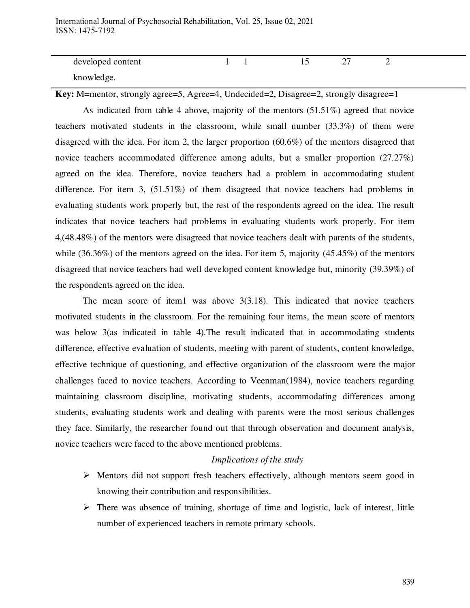International Journal of Psychosocial Rehabilitation, Vol. 25, Issue 02, 2021 ISSN: 1475-7192

| developed content |  |  |  |
|-------------------|--|--|--|
| knowledge.        |  |  |  |

**Key:** M=mentor, strongly agree=5, Agree=4, Undecided=2, Disagree=2, strongly disagree=1

As indicated from table 4 above, majority of the mentors (51.51%) agreed that novice teachers motivated students in the classroom, while small number (33.3%) of them were disagreed with the idea. For item 2, the larger proportion (60.6%) of the mentors disagreed that novice teachers accommodated difference among adults, but a smaller proportion (27.27%) agreed on the idea. Therefore, novice teachers had a problem in accommodating student difference. For item 3, (51.51%) of them disagreed that novice teachers had problems in evaluating students work properly but, the rest of the respondents agreed on the idea. The result indicates that novice teachers had problems in evaluating students work properly. For item 4,(48.48%) of the mentors were disagreed that novice teachers dealt with parents of the students, while (36.36%) of the mentors agreed on the idea. For item 5, majority (45.45%) of the mentors disagreed that novice teachers had well developed content knowledge but, minority (39.39%) of the respondents agreed on the idea.

The mean score of item1 was above 3(3.18). This indicated that novice teachers motivated students in the classroom. For the remaining four items, the mean score of mentors was below 3(as indicated in table 4). The result indicated that in accommodating students difference, effective evaluation of students, meeting with parent of students, content knowledge, effective technique of questioning, and effective organization of the classroom were the major challenges faced to novice teachers. According to Veenman(1984), novice teachers regarding maintaining classroom discipline, motivating students, accommodating differences among students, evaluating students work and dealing with parents were the most serious challenges they face. Similarly, the researcher found out that through observation and document analysis, novice teachers were faced to the above mentioned problems.

#### *Implications of the study*

- $\triangleright$  Mentors did not support fresh teachers effectively, although mentors seem good in knowing their contribution and responsibilities.
- $\triangleright$  There was absence of training, shortage of time and logistic, lack of interest, little number of experienced teachers in remote primary schools.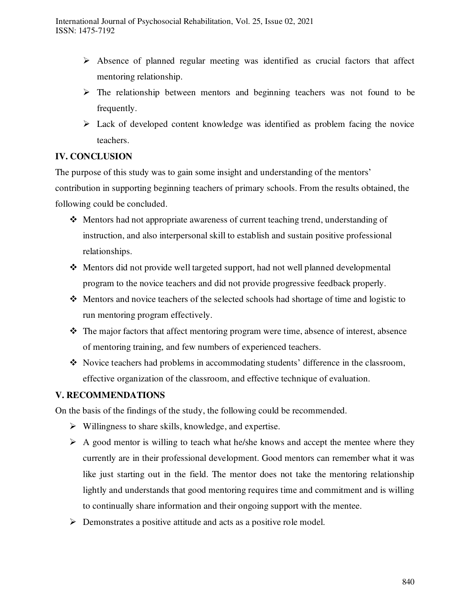- $\triangleright$  Absence of planned regular meeting was identified as crucial factors that affect mentoring relationship.
- $\triangleright$  The relationship between mentors and beginning teachers was not found to be frequently.
- $\triangleright$  Lack of developed content knowledge was identified as problem facing the novice teachers.

# **IV. CONCLUSION**

The purpose of this study was to gain some insight and understanding of the mentors' contribution in supporting beginning teachers of primary schools. From the results obtained, the following could be concluded.

- Mentors had not appropriate awareness of current teaching trend, understanding of instruction, and also interpersonal skill to establish and sustain positive professional relationships.
- Mentors did not provide well targeted support, had not well planned developmental program to the novice teachers and did not provide progressive feedback properly.
- Mentors and novice teachers of the selected schools had shortage of time and logistic to run mentoring program effectively.
- The major factors that affect mentoring program were time, absence of interest, absence of mentoring training, and few numbers of experienced teachers.
- Novice teachers had problems in accommodating students' difference in the classroom, effective organization of the classroom, and effective technique of evaluation.

# **V. RECOMMENDATIONS**

On the basis of the findings of the study, the following could be recommended.

- $\triangleright$  Willingness to share skills, knowledge, and expertise.
- $\triangleright$  A good mentor is willing to teach what he/she knows and accept the mentee where they currently are in their professional development. Good mentors can remember what it was like just starting out in the field. The mentor does not take the mentoring relationship lightly and understands that good mentoring requires time and commitment and is willing to continually share information and their ongoing support with the mentee.
- $\triangleright$  Demonstrates a positive attitude and acts as a positive role model.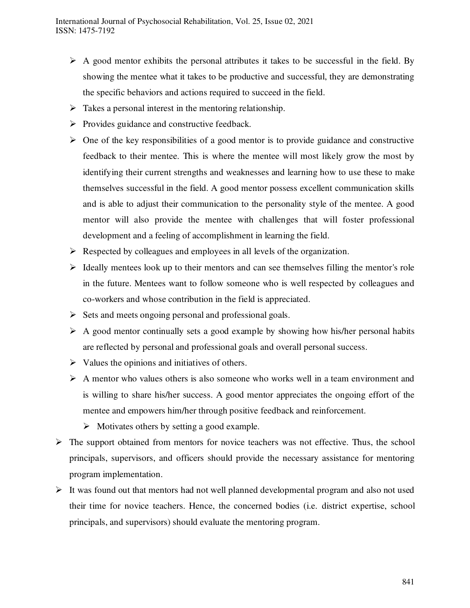- $\triangleright$  A good mentor exhibits the personal attributes it takes to be successful in the field. By showing the mentee what it takes to be productive and successful, they are demonstrating the specific behaviors and actions required to succeed in the field.
- $\triangleright$  Takes a personal interest in the mentoring relationship.
- $\triangleright$  Provides guidance and constructive feedback.
- $\triangleright$  One of the key responsibilities of a good mentor is to provide guidance and constructive feedback to their mentee. This is where the mentee will most likely grow the most by identifying their current strengths and weaknesses and learning how to use these to make themselves successful in the field. A good mentor possess excellent communication skills and is able to adjust their communication to the personality style of the mentee. A good mentor will also provide the mentee with challenges that will foster professional development and a feeling of accomplishment in learning the field.
- $\triangleright$  Respected by colleagues and employees in all levels of the organization.
- $\triangleright$  Ideally mentees look up to their mentors and can see themselves filling the mentor's role in the future. Mentees want to follow someone who is well respected by colleagues and co-workers and whose contribution in the field is appreciated.
- $\triangleright$  Sets and meets ongoing personal and professional goals.
- $\triangleright$  A good mentor continually sets a good example by showing how his/her personal habits are reflected by personal and professional goals and overall personal success.
- $\triangleright$  Values the opinions and initiatives of others.
- $\triangleright$  A mentor who values others is also someone who works well in a team environment and is willing to share his/her success. A good mentor appreciates the ongoing effort of the mentee and empowers him/her through positive feedback and reinforcement.
	- $\triangleright$  Motivates others by setting a good example.
- $\triangleright$  The support obtained from mentors for novice teachers was not effective. Thus, the school principals, supervisors, and officers should provide the necessary assistance for mentoring program implementation.
- $\triangleright$  It was found out that mentors had not well planned developmental program and also not used their time for novice teachers. Hence, the concerned bodies (i.e. district expertise, school principals, and supervisors) should evaluate the mentoring program.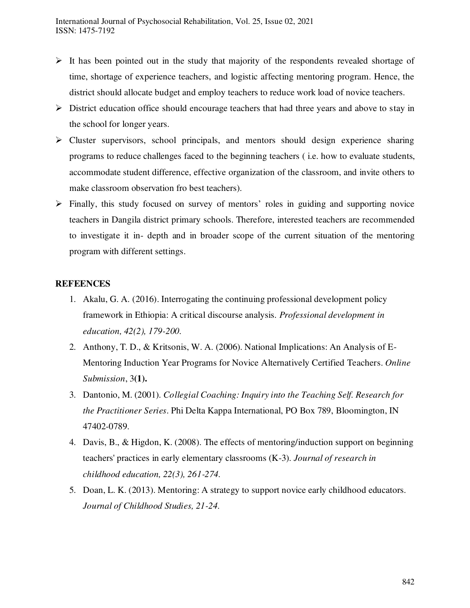- $\triangleright$  It has been pointed out in the study that majority of the respondents revealed shortage of time, shortage of experience teachers, and logistic affecting mentoring program. Hence, the district should allocate budget and employ teachers to reduce work load of novice teachers.
- $\triangleright$  District education office should encourage teachers that had three years and above to stay in the school for longer years.
- $\triangleright$  Cluster supervisors, school principals, and mentors should design experience sharing programs to reduce challenges faced to the beginning teachers ( i.e. how to evaluate students, accommodate student difference, effective organization of the classroom, and invite others to make classroom observation fro best teachers).
- $\triangleright$  Finally, this study focused on survey of mentors' roles in guiding and supporting novice teachers in Dangila district primary schools. Therefore, interested teachers are recommended to investigate it in- depth and in broader scope of the current situation of the mentoring program with different settings.

### **REFEENCES**

- 1. Akalu, G. A. (2016). Interrogating the continuing professional development policy framework in Ethiopia: A critical discourse analysis. *Professional development in education, 42(2), 179-200.*
- 2. Anthony, T. D., & Kritsonis, W. A. (2006). National Implications: An Analysis of E-Mentoring Induction Year Programs for Novice Alternatively Certified Teachers. *Online Submission*, 3**(1).**
- 3. Dantonio, M. (2001). *Collegial Coaching: Inquiry into the Teaching Self. Research for the Practitioner Series*. Phi Delta Kappa International, PO Box 789, Bloomington, IN 47402-0789.
- 4. Davis, B., & Higdon, K. (2008). The effects of mentoring/induction support on beginning teachers' practices in early elementary classrooms (K-3). *Journal of research in childhood education, 22(3), 261-274.*
- 5. Doan, L. K. (2013). Mentoring: A strategy to support novice early childhood educators. *Journal of Childhood Studies, 21-24.*